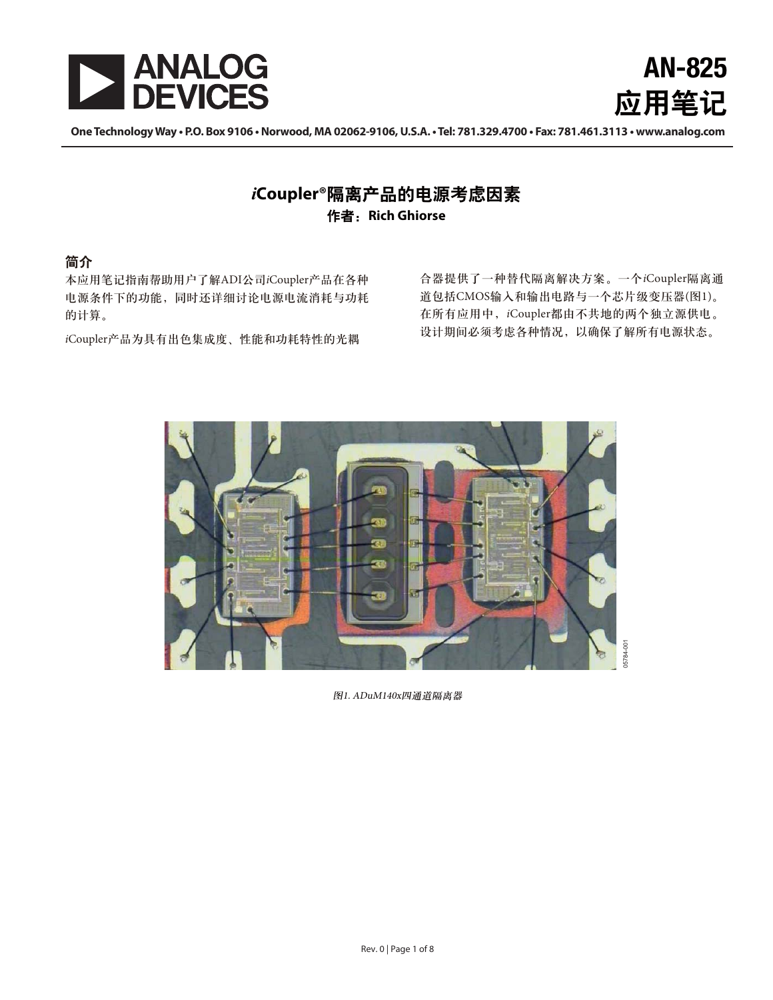



**One Technology WaZtP.O. Box 9106t/Prwood, MA 02062-9106, U.S.A.t Tel: 781.329.4700tFax: 781.461.3113twww.analog.com** 

### iCoupler<sup>®</sup>隔离产品的电源考虑因素 作者: Rich Ghiorse

#### 简介

本应用笔记指南帮助用户了解ADI公司iCoupler产品在各种 电源条件下的功能, 同时还详细讨论电源电流消耗与功耗 的计算。

iCoupler产品为具有出色集成度、性能和功耗特性的光耦

合器提供了一种替代隔离解决方案。一个iCoupler隔离通 道包括CMOS输入和输出电路与一个芯片级变压器(图1)。 在所有应用中, iCoupler都由不共地的两个独立源供电。 设计期间必须考虑各种情况, 以确保了解所有电源状态。



图1. ADuM140x四通道隔离器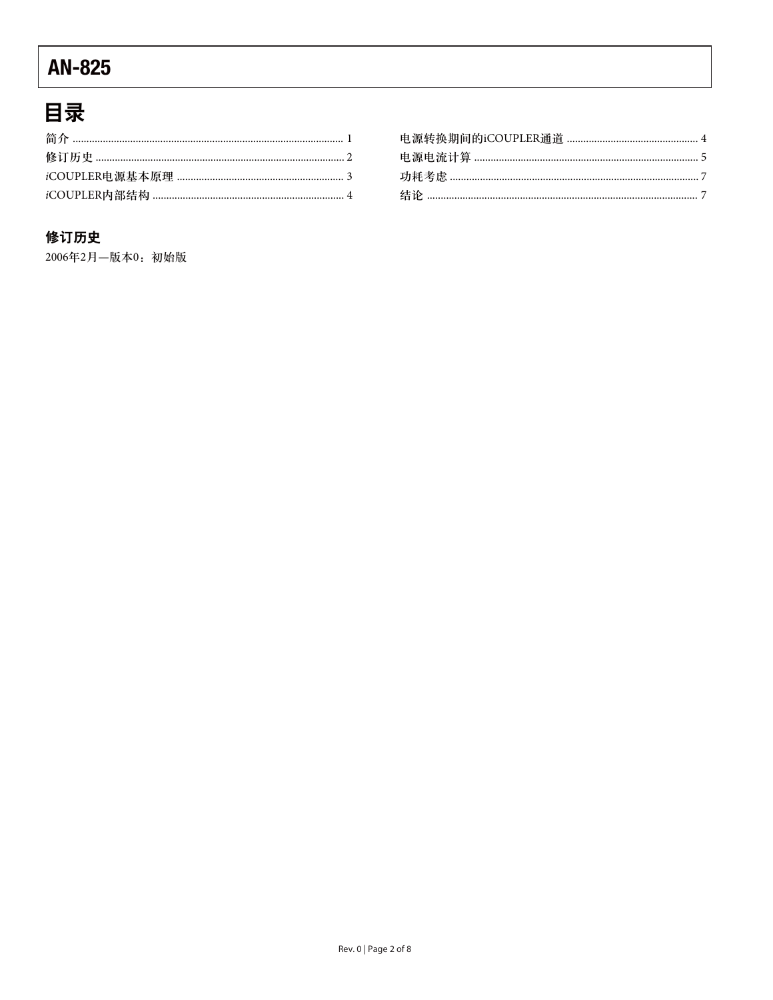# 目录

#### 修订历史

2006年2月-版本0: 初始版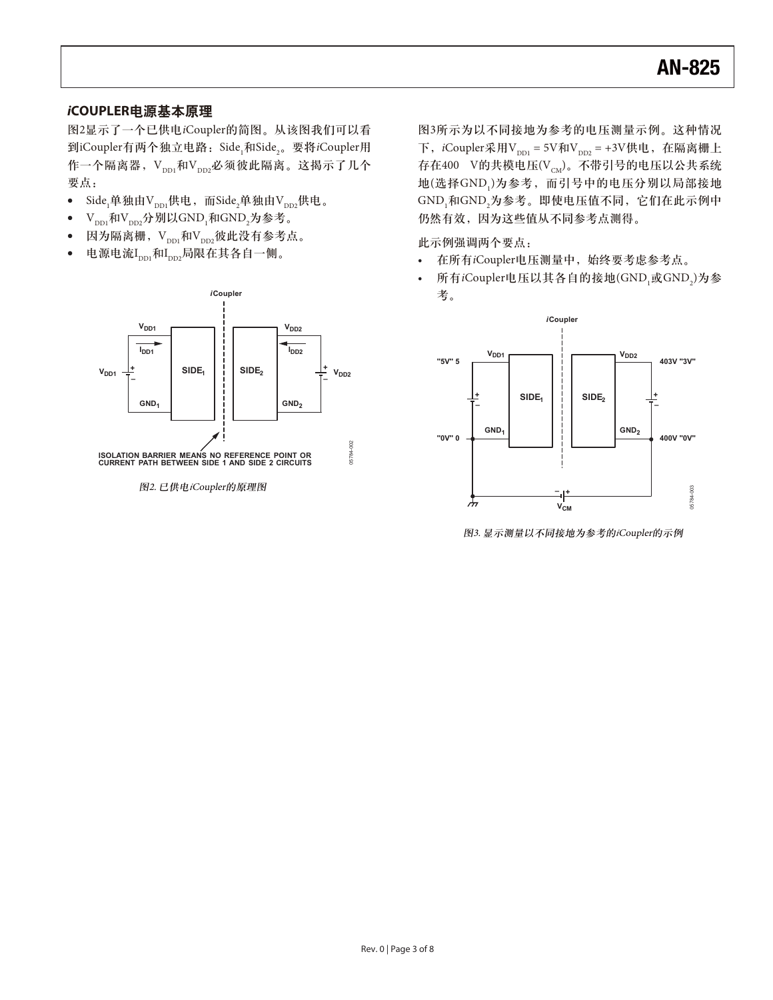#### iCOUPLER电源基本原理

图2显示了一个已供电iCoupler的简图。从该图我们可以看 到iCoupler有两个独立电路:Side<sub>1</sub>和Side<sub>2</sub>。要将*i*Coupler用 作一个隔离器, V<sub>ppi</sub>和V<sub>pp</sub>,必须彼此隔离。这揭示了几个 要点:

- $\bullet$ Side,单独由V $_{\textrm{\tiny{DD1}}}$ 供电,而Side,单独由V $_{\textrm{\tiny{DD2}}}$ 供电。
- $\bullet$  ${\rm V}_{_{\rm DD1}}$ 和 ${\rm V}_{_{\rm DD2}}$ 分别以GND $_{_{1}}$ 和GND $_{_{2}}$ 为参考。
- -因为隔离栅, Vppi和Vpp2彼此没有参考点。
- 电源电流I $_{\text{\tiny{DD1}}}$ 和I $_{\text{\tiny{DD2}}}$ 局限在其各自一侧。



图3所示为以不同接地为参考的电压测量示例。这种情况 下, iCoupler采用V<sub>DD1</sub> = 5V和V<sub>DD2</sub> = +3V供电, 在隔离栅上 存在400 V的共模电压 $(V_{\text{CM}})$ 。不带引号的电压以公共系统 地(选择GND<sub>1</sub>)为参考,而引号中的电压分别以局部接地 GND,和GND,为参考。即使电压值不同,它们在此示例中 仍然有效, 因为这些值从不同参考点测得。

此示例强调两个要点:

- 在所有iCoupler电压测量中, 始终要考虑参考点。
- 所有iCoupler电压以其各自的接地(GND<sub>1</sub>或GND<sub>2</sub>)为参 考。



图3. 显示测量以不同接地为参考的iCoupler的示例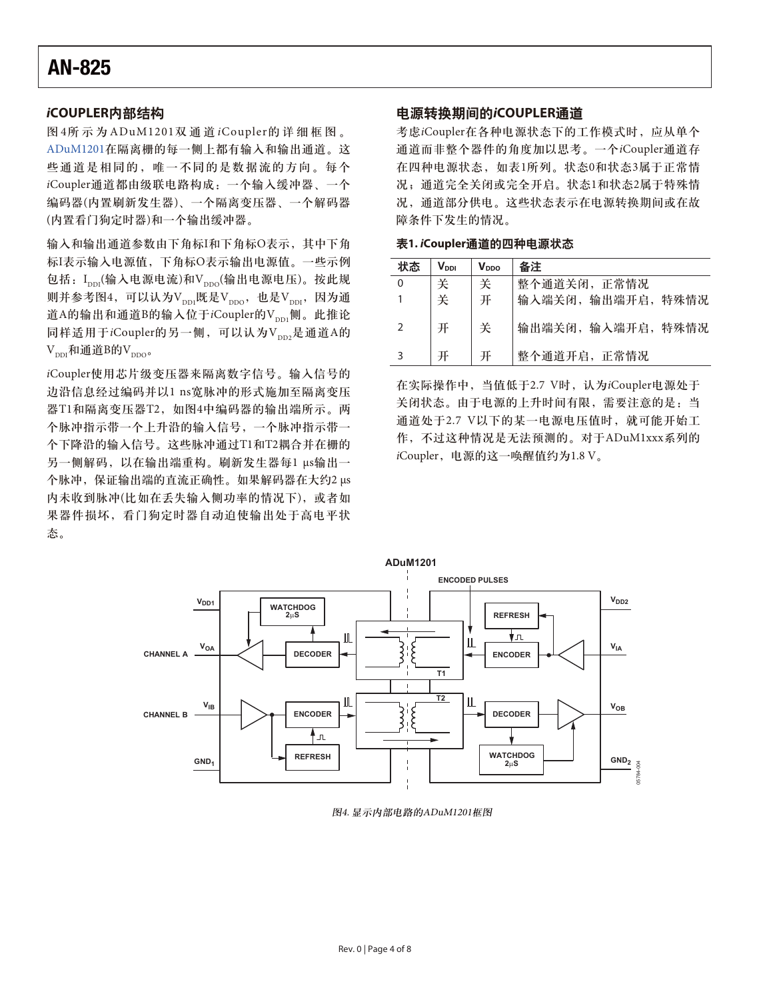#### *i***COUPLER内部结构**

图4所示为ADuM1201双通道iCoupler的详细框图。 [ADuM1201](http://www.analog.com/zh/interface/digital-isolators/adum1201/products/product.html)在隔离栅的每一侧上都有输入和输出通道。这 些通道是相同的,唯一不同的是数据流的方向。每个 iCoupler通道都由级联电路构成: 一个输入缓冲器、一个 编码器(内置刷新发生器)、一个隔离变压器、一个解码器 (内置看门狗定时器)和一个输出缓冲器。

输入和输出通道参数由下角标I和下角标O表示, 其中下角 标I表示输入电源值, 下角标O表示输出电源值。一些示例 包括: Ipp(输入电源电流)和Vppo(输出电源电压)。按此规 则并参考图4, 可以认为V<sub>DD1</sub>既是V<sub>DDO</sub>, 也是V<sub>DDI</sub>, 因为通 道A的输出和通道B的输入位于iCoupler的Vpp1侧。此推论 同样适用于iCoupler的另一侧,可以认为Vnn,是通道A的  $V_{\text{DDI}}$ 和通道B的 $V_{\text{DDO}}$ 。

iCoupler使用芯片级变压器来隔离数字信号。输入信号的 边沿信息经过编码并以1 ns宽脉冲的形式施加至隔离变压 器T1和隔离变压器T2, 如图4中编码器的输出端所示。两 个脉冲指示带一个上升沿的输入信号, 一个脉冲指示带一 个下降沿的输入信号。这些脉冲通过T1和T2耦合并在栅的 另一侧解码, 以在输出端重构。刷新发生器每1 µs输出一 个脉冲, 保证输出端的直流正确性。如果解码器在大约2 μs 内未收到脉冲(比如在丢失输入侧功率的情况下), 或者如 果器件损坏, 看门狗定时器自动迫使输出处干高电平状 ༀă

#### 电源转换期间的iCOUPLER通道

考虑iCoupler在各种电源状态下的工作模式时, 应从单个 通道而非整个器件的角度加以思考。一个iCoupler通道存 在四种电源状态,如表1所列。状态0和状态3属于正常情 况; 通道完全关闭或完全开启。状态1和状态2属于特殊情 况,通道部分供电。这些状态表示在电源转换期间或在故 障条件下发生的情况。

表1. iCoupler通道的四种电源状态

| 状态 | $V_{\text{DDI}}$ | V <sub>DDO</sub> | 备注                 |
|----|------------------|------------------|--------------------|
| 0  | 关                | 关                | 整个通道关闭, 正常情况       |
|    | 关                | 开                | 输入端关闭, 输出端开启, 特殊情况 |
|    |                  | 关                | 输出端关闭, 输入端开启, 特殊情况 |
|    |                  | 开                | 整个通道开启, 正常情况       |

在实际操作中, 当值低于2.7 V时, 认为iCoupler电源处于 关闭状态。由于电源的上升时间有限,需要注意的是: 当 通道处于2.7 V以下的某一电源电压值时, 就可能开始工 作,不过这种情况是无法预测的。对于ADuM1xxx系列的 iCoupler, 电源的这一唤醒值约为1.8 V。



图4. 显示内部电路的ADuM1201框图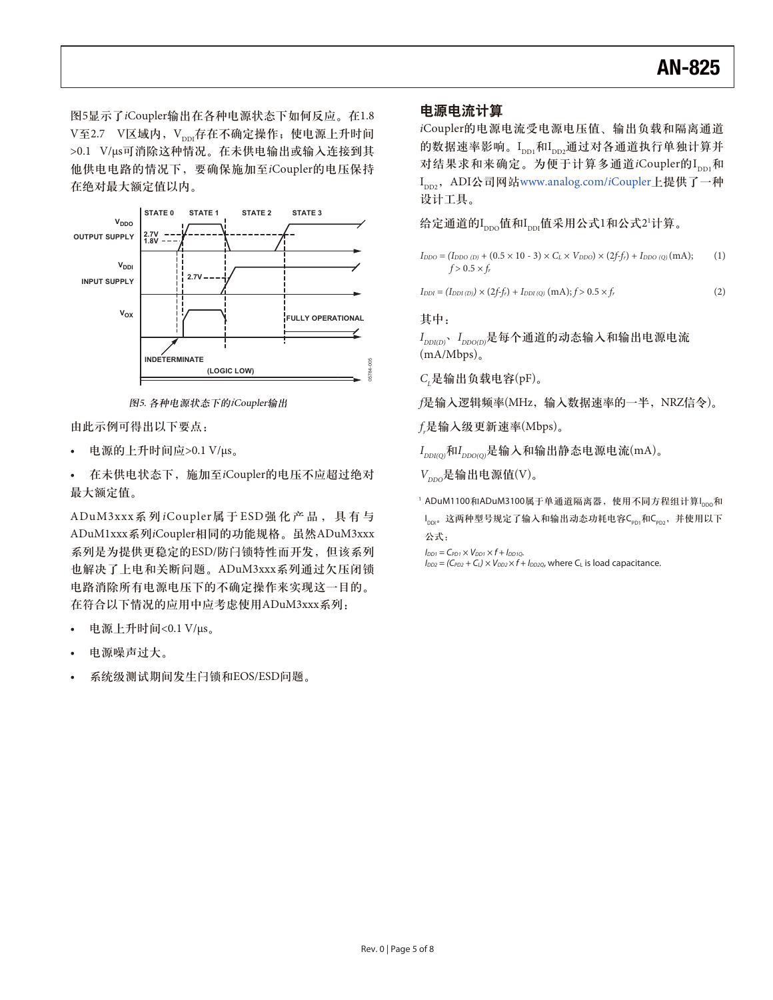图5显示了iCoupler输出在各种电源状态下如何反应。在1.8 V至2.7 V区域内, Vppr存在不确定操作; 使电源上升时间 >0.1 V/μs可消除这种情况。在未供电输出或输入连接到其 他供电电路的情况下, 要确保施加至iCoupler的电压保持 在绝对最大额定值以内。



图5. 各种电源状态下的iCoupler输出

由此示例可得出以下要点:

电源的上升时间应> $0.1$  V/μs。

· 在未供电状态下, 施加至iCoupler的电压不应超过绝对 最大额定值。

ADuM3xxx系列iCoupler属于ESD强化产品, 具有与 ADuM1xxx系列iCoupler相同的功能规格。虽然ADuM3xxx 系列是为提供更稳定的ESD/防闩锁特性而开发, 但该系列 也解决了上电和关断问题。ADuM3xxx系列通过欠压闭锁 电路消除所有电源电压下的不确定操作来实现这一目的。 在符合以下情况的应用中应考虑使用ADuM3xxx系列:

- 电源上升时间<0.1 V/μs。
- 电源噪声过大。
- 系统级测试期间发生闩锁和EOS/ESD问题。

#### 电源电流计算

iCoupler的电源电流受电源电压值、输出负载和隔离通道 的数据速率影响。Ipp 和Ipp 通过对各通道执行单独计算并 对结果求和来确定。为便于计算多通道iCoupler的Ippi和 I<sub>nn2</sub>, ADI公司网站[www.analog.com/](http://www.analog.com/zh/interface/digital-isolators/products/index.html)iCoupler上提供了一种 设计工具。

给定通道的I<sub>ppo</sub>值和I<sub>ppi</sub>值采用公式1和公式2'计算。

 $I_{DDO} = (I_{DDO (D))} + (0.5 \times 10 \cdot 3) \times C_L \times V_{DDO}) \times (2f-f_r) + I_{DDO (Q)}(mA);$  (1)  $f > 0.5 \times f_r$ 

 $I_{DDI} = (I_{DDI(D)}) \times (2f-f_r) + I_{DDI(Q)}(mA); f > 0.5 \times f_r$  (2)

#### 其中:

 $I_{DDIO}$ ,  $I_{DDOID}$ 是每个通道的动态输入和输出电源电流  $(mA/Mbps)$ <sub>o</sub>

 $C_{L}$ 是输出负载电容(pF)。

f是输入逻辑频率(MHz, 输入数据速率的一半, NRZ信令)。

 $f$ ,是输入级更新速率(Mbps)。

 $I_{DDI(Q)}$ 和 $I_{DDO(O)}$ 是输入和输出静态电源电流(mA)。

 $V_{\text{DDO}}$ 是输出电源值(V)。

1ADuM1100和ADuM3100属于单通道隔离器,使用不同方程组计算I<sub>DDO</sub>和 I<sub>pDI</sub>。这两种型号规定了输入和输出动态功耗电容C<sub>PD1</sub>和C<sub>PD2</sub>,并使用以下 公式:

 $I_{DD1} = C_{PD1} \times V_{DD1} \times f + I_{DD1Q}$ .

 $I_{DD2} = (C_{PD2} + C_1) \times V_{DD2} \times f + I_{DD2Q}$ , where C<sub>L</sub> is load capacitance.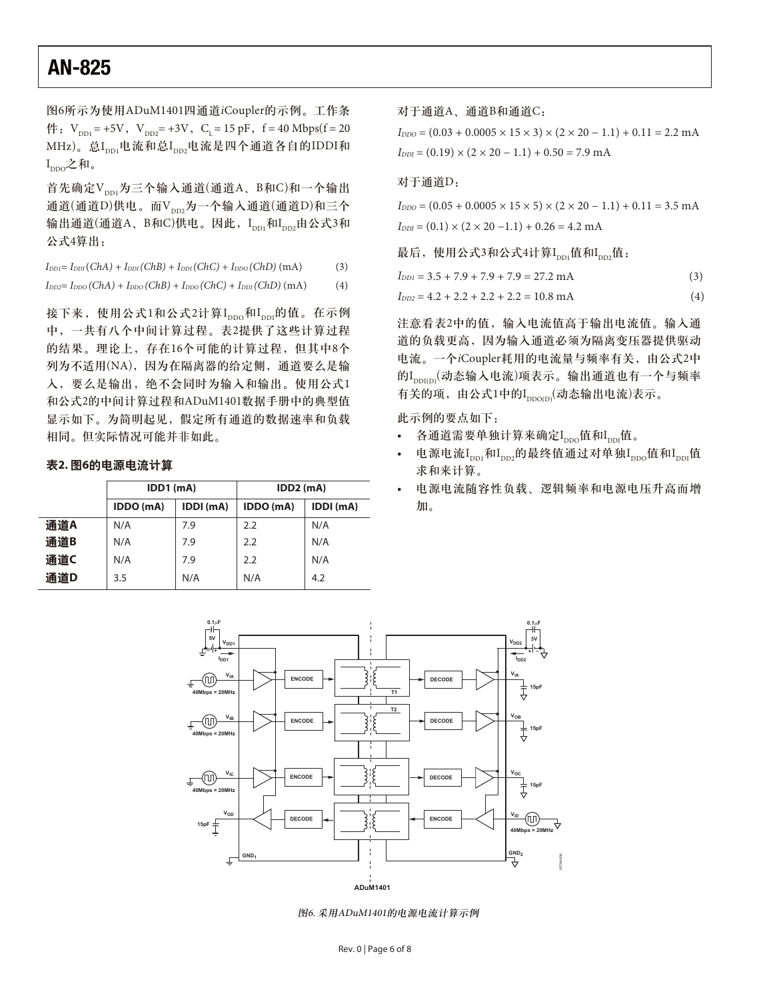图6所示为使用ADuM1401四通道iCoupler的示例。工作条  $\text{A}$   $\mathbf{V}_{\text{DD1}} = +5\text{V}$ ,  $\text{V}_{\text{DD2}} = +3\text{V}$ ,  $\text{C}_{\text{I}} = 15 \text{ pF}$ ,  $\text{f} = 40 \text{ Mbps}$ ( $\text{f} = 20$ MHz)。总I<sub>ppt</sub>电流和总I<sub>ppz</sub>电流是四个通道各自的IDDI和  $I_{\text{DDO}}$ 之和。

首先确定V<sub>ppi</sub>为三个输入通道(通道A、B和C)和一个输出 通道(通道D)供电。而V<sub>pp2</sub>为一个输入通道(通道D)和三个 输出通道(通道A、B和C)供电。因此,I<sub>ppi</sub>和I<sub>pp</sub>,由公式3和 公式4算出:

| $I_{DDI} = I_{DDI}(ChA) + I_{DDI}(ChB) + I_{DDI}(ChC) + I_{DDO}(ChD)(mA)$ | (3) |
|---------------------------------------------------------------------------|-----|
|                                                                           |     |

 $I_{DD2} = I_{DDO}(ChA) + I_{DDO}(ChB) + I_{DDO}(ChC) + I_{DDI}(ChD)(mA)$  (4)

接下来, 使用公式1和公式2计算I<sub>DDO</sub>和I<sub>DDI</sub>的值。在示例 中,一共有八个中间计算过程。表2提供了这些计算过程 的结果。理论上, 存在16个可能的计算过程, 但其中8个 列为不适用(NA), 因为在隔离器的给定侧, 通道要么是输 入, 要么是输出, 绝不会同时为输入和输出。使用公式1 和公式2的中间计算过程和ADuM1401数据手册中的典型值 显示如下。为简明起见, 假定所有通道的数据速率和负载 相同。但实际情况可能并非如此。

#### 表2. 图6的电源电流计算

|     | $IDD1$ (mA) |           | $IDD2$ (mA)      |           |
|-----|-------------|-----------|------------------|-----------|
|     | IDDO (mA)   | IDDI (mA) | IDDO (mA)        | IDDI (mA) |
| 通道A | N/A         | 7.9       | $2.2\phantom{0}$ | N/A       |
| 通道B | N/A         | 7.9       | 2.2              | N/A       |
| 通道C | N/A         | 7.9       | 2.2              | N/A       |
| 通道D | 3.5         | N/A       | N/A              | 4.2       |
|     |             |           |                  |           |

对于通道A、通道B和通道C:

 $I_{DDO} = (0.03 + 0.0005 \times 15 \times 3) \times (2 \times 20 - 1.1) + 0.11 = 2.2$  mA  $I_{DDI} = (0.19) \times (2 \times 20 - 1.1) + 0.50 = 7.9 \text{ mA}$ 

#### 对于通道D:

 $I_{DDO} = (0.05 + 0.0005 \times 15 \times 5) \times (2 \times 20 - 1.1) + 0.11 = 3.5$  mA  $I_{DDI} = (0.1) \times (2 \times 20 - 1.1) + 0.26 = 4.2$  mA

最后, 使用公式3和公式4计算Ipp;值和Ipp;值:

$$
I_{DD1} = 3.5 + 7.9 + 7.9 + 7.9 = 27.2 \text{ mA}
$$
 (3)

$$
I_{DD2} = 4.2 + 2.2 + 2.2 + 2.2 = 10.8 \text{ mA}
$$
 (4)

注意看表2中的值, 输入电流值高于输出电流值。输入通 道的负载更高, 因为输入通道必须为隔离变压器提供驱动 电流。一个iCoupler耗用的电流量与频率有关, 由公式2中 的Ippi(m)(动态输入电流)项表示。输出通道也有一个与频率 有关的项, 由公式1中的Ippo(p)(动态输出电流)表示。

此示例的要点如下:

- 各通道需要单独计算来确定I<sub>ppo</sub>值和I<sub>ppi</sub>值。
- 电源电流I<sub>DD1</sub>和I<sub>DD2</sub>的最终值通过对单独I<sub>DD0</sub>值和I<sub>DDI</sub>值 求和来计算。
- 电源电流随容性负载、逻辑频率和电源电压升高而增 加。



图6. 采用ADuM1401的电源电流计算示例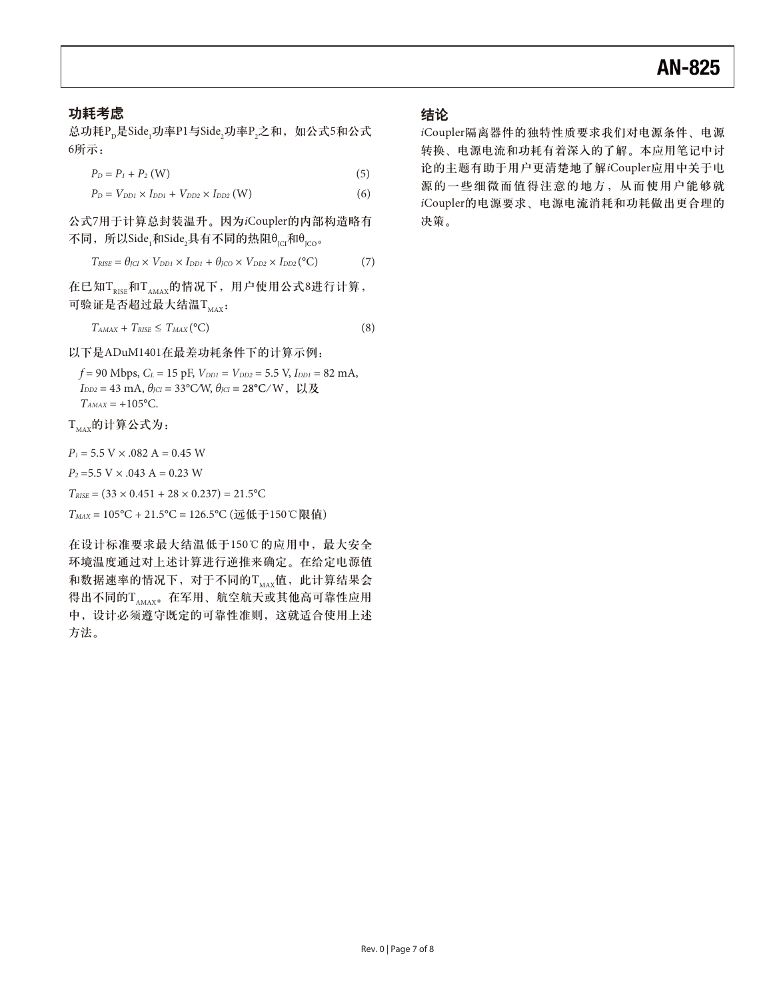#### 功耗考虑

总功耗P<sub>D</sub>是Side<sub>1</sub>功率P1与Side<sub>2</sub>功率P<sub>2</sub>之和,如公式5和公式 6所示:

$$
P_D = P_1 + P_2 \text{ (W)}\tag{5}
$$

$$
P_D = V_{DD1} \times I_{DD1} + V_{DD2} \times I_{DD2} \text{ (W)} \tag{6}
$$

公式7用于计算总封装温升。因为iCoupler的内部构造略有 不同,所以Sideˌ和Side<sub>2</sub>具有不同的热阻θ<sub>jCl</sub>和θ<sub>jCO</sub>。

$$
T_{RISE} = \theta_{JCI} \times V_{DD1} \times I_{DD1} + \theta_{JCO} \times V_{DD2} \times I_{DD2} (^{\circ}C) \tag{7}
$$

在已知T $_{\text{RISE}}$ 和T $_{\text{AMAX}}$ 的情况下, 用户使用公式8进行计算, 可验证是否超过最大结温T<sub>MAX</sub>:

$$
T_{AMAX} + T_{RISE} \leq T_{MAX} (^{\circ}C)
$$
 (8)

以下是ADuM1401在最差功耗条件下的计算示例:

 $f = 90$  Mbps,  $C_L = 15$  pF,  $V_{DD1} = V_{DD2} = 5.5$  V,  $I_{DD1} = 82$  mA,  $I_{DD2} = 43 \text{ mA}, \theta_{JCI} = 33^{\circ} \text{CM}, \theta_{JCI} = 28^{\circ} \text{C/W}, \ \ \text{W}, \ \ \text{W}, \ \text{W}$  $T<sub>AMAX</sub> = +105$ °C.

TMAX的计算公式为:

 $P_1 = 5.5$  V  $\times$  .082 A = 0.45 W

 $P_2 = 5.5$  V  $\times$  .043 A = 0.23 W

$$
T_{RISE} = (33 \times 0.451 + 28 \times 0.237) = 21.5^{\circ}\text{C}
$$

 $T_{MAX} = 105^{\circ}\text{C} + 21.5^{\circ}\text{C} = 126.5^{\circ}\text{C}$  (远低于 $150^{\circ}\text{C}$ 限值)

在设计标准要求最大结温低于150℃的应用中, 最大安全 环境温度通过对上述计算进行逆推来确定。在给定电源值 和数据速率的情况下, 对于不同的TMAX值, 此计算结果会 得出不同的TAMAX。在军用、航空航天或其他高可靠性应用 中, 设计必须遵守既定的可靠性准则, 这就适合使用上述 方法。

#### 结论

iCoupler隔离器件的独特性质要求我们对电源条件、电源 转换、电源电流和功耗有着深入的了解。本应用笔记中讨 论的主题有助于用户更清楚地了解iCoupler应用中关于电 源的一些细微而值得注意的地方,从而使用户能够就 iCoupler的电源要求、电源电流消耗和功耗做出更合理的 决策。